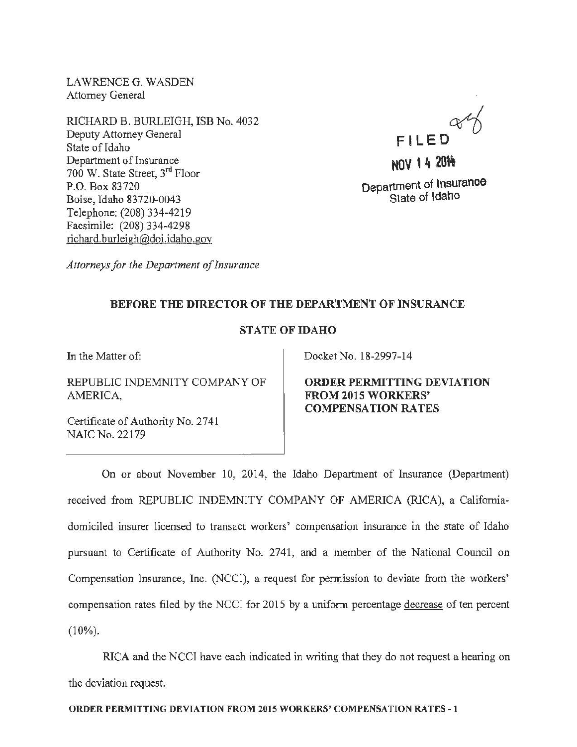LAWRENCEG. WASDEN Attorney General

RICHARD B. BURLEIGH, ISB No. 4032 Deputy Attorney General State of Idaho Department of Insurance 700 W. State Street, 3rd Floor P.O. Box 83720 Boise, Idaho 83720-0043 Telephone: (208) 334-4219 Facsimile: (208) 334~4298 richard. burleigh@doi .idaho.gov



NOV 1 4 2014 Department of insurance State of Idaho

*Attorneys for the Department of Insurance* 

## BEFORE THE DIRECTOR OF THE DEPARTMENT OF INSURANCE

## STATE OF IDAHO

In the Matter of:

REPUBLIC INDEMNITY COMPANY OF AMERICA,

Certificate of Authority No. 2741 NAIC No. 22179

Docket No. 18-2997-14

ORDER PERMITTING DEVIATION FROM 2015 WORKERS' COMPENSATION RATES

On or about November 10, 2014, the Idaho Department of Insurance (Department) received from REPUBLIC INDEMNITY COMPANY OF AMERICA (RICA), a Californiadomiciled insurer licensed to transact workers' compensation insurance in the state of Idaho pursuant to Certificate of Authority No. 2741, and a member of the National Council on Compensation Insurance, Inc. (NCCI), a request for permission to deviate from the workers' compensation rates filed by the NCCI for 2015 by a uniform percentage decrease of ten percent  $(10\%)$ .

RICA and the NCCI have each indicated in writing that they do not request a hearing on the deviation request.

ORDER PERMITTING DEVIATION FROM 2015 WORKERS' COMPENSATION RATES -1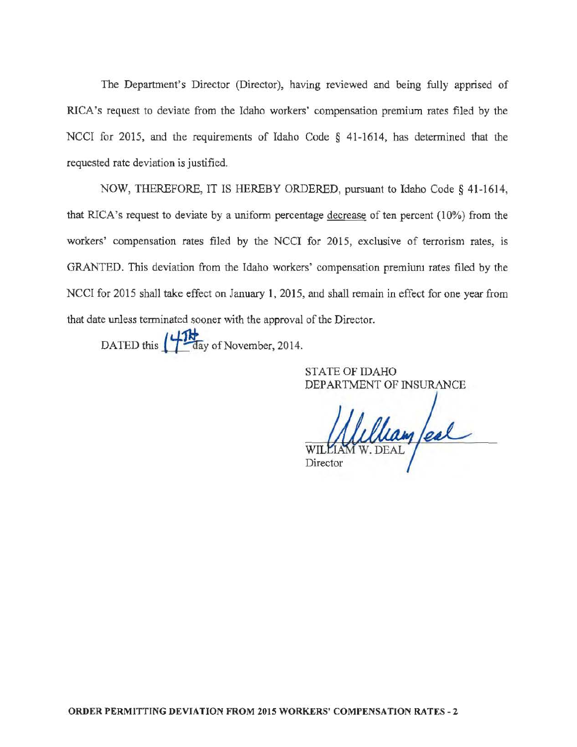The Department's Director (Director), having reviewed and being fully apprised of RICA's request to deviate from the Idaho workers' compensation premium rates filed by the NCCI for 2015, and the requirements of Idaho Code § 41-1614, has determined that the requested rate deviation is justified.

NOW, THEREFORE, IT IS HEREBY ORDERED, pursuant to Idaho Code § 41-1614, that RICA's request to deviate by a uniform percentage decrease of ten percent  $(10\%)$  from the workers' compensation rates filed by the NCCI for 2015, exclusive of terrorism rates, is GRANTED. This deviation from the Idaho workers' compensation premium rates filed by the NCCI for 2015 shall take effect on January 1, 2015, and shall remain in effect for one year from that date unless terminated sooner with the approval of the Director.

DATED this  $\left(\frac{1}{\sqrt{2}}\right)$  day of November, 2014.

STATE OF IDAHO DEPARTMENT OF INSURANCE

ellean feal **Director**